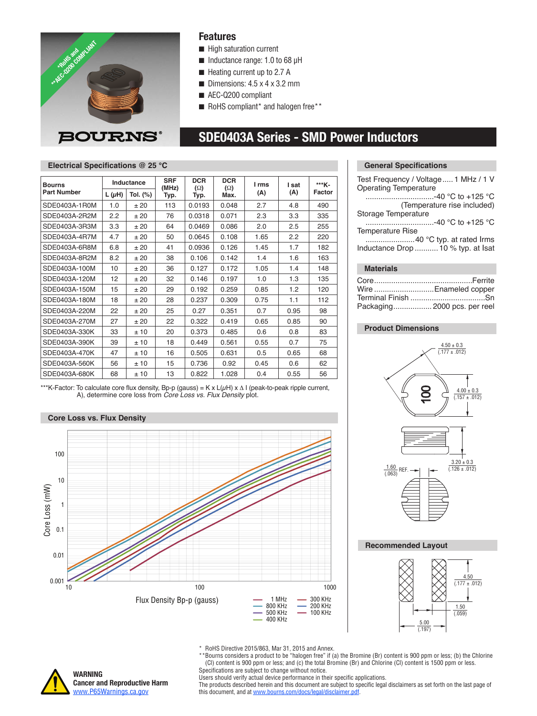

### **Features**

- $\blacksquare$  High saturation current
- $\blacksquare$  Inductance range: 1.0 to 68 µH
- $\blacksquare$  Heating current up to 2.7 A
- $\blacksquare$  Dimensions: 4.5 x 4 x 3.2 mm
- AEC-Q200 compliant
- $\blacksquare$  RoHS compliant\* and halogen free\*\*

# **SDE0403A Series - SMD Power Inductors**

### **Electrical Specifications @ 25 °C**

| <b>Bourns</b><br><b>Part Number</b> | Inductance |          | <b>SRF</b><br>(MHz) | <b>DCR</b><br>$(\Omega)$ | <b>DCR</b><br>$(\Omega)$ | I rms | I sat | ***K-  |
|-------------------------------------|------------|----------|---------------------|--------------------------|--------------------------|-------|-------|--------|
|                                     | $L(\mu H)$ | Tol. (%) | Typ.                | Typ.                     | Max.                     | (A)   | (A)   | Factor |
| SDE0403A-1R0M                       | 1.0        | ±20      | 113                 | 0.0193                   | 0.048                    | 2.7   | 4.8   | 490    |
| SDE0403A-2R2M                       | 2.2        | ±20      | 76                  | 0.0318                   | 0.071                    | 2.3   | 3.3   | 335    |
| SDE0403A-3R3M                       | 3.3        | ±20      | 64                  | 0.0469                   | 0.086                    | 2.0   | 2.5   | 255    |
| SDE0403A-4R7M                       | 4.7        | ±20      | 50                  | 0.0645                   | 0.108                    | 1.65  | 2.2   | 220    |
| SDE0403A-6R8M                       | 6.8        | ±20      | 41                  | 0.0936                   | 0.126                    | 1.45  | 1.7   | 182    |
| SDE0403A-8R2M                       | 8.2        | ±20      | 38                  | 0.106                    | 0.142                    | 1.4   | 1.6   | 163    |
| SDE0403A-100M                       | 10         | ±20      | 36                  | 0.127                    | 0.172                    | 1.05  | 1.4   | 148    |
| SDE0403A-120M                       | 12         | ±20      | 32                  | 0.146                    | 0.197                    | 1.0   | 1.3   | 135    |
| SDE0403A-150M                       | 15         | ±20      | 29                  | 0.192                    | 0.259                    | 0.85  | 1.2   | 120    |
| SDE0403A-180M                       | 18         | ±20      | 28                  | 0.237                    | 0.309                    | 0.75  | 1.1   | 112    |
| SDE0403A-220M                       | 22         | ±20      | 25                  | 0.27                     | 0.351                    | 0.7   | 0.95  | 98     |
| SDE0403A-270M                       | 27         | ±20      | 22                  | 0.322                    | 0.419                    | 0.65  | 0.85  | 90     |
| SDE0403A-330K                       | 33         | ±10      | 20                  | 0.373                    | 0.485                    | 0.6   | 0.8   | 83     |
| SDE0403A-390K                       | 39         | ±10      | 18                  | 0.449                    | 0.561                    | 0.55  | 0.7   | 75     |
| SDE0403A-470K                       | 47         | ±10      | 16                  | 0.505                    | 0.631                    | 0.5   | 0.65  | 68     |
| SDE0403A-560K                       | 56         | ±10      | 15                  | 0.736                    | 0.92                     | 0.45  | 0.6   | 62     |
| SDE0403A-680K                       | 68         | ±10      | 13                  | 0.822                    | 1.028                    | 0.4   | 0.55  | 56     |

\*\*\*K-Factor: To calculate core flux density, Bp-p (gauss) = K x L(µH) x Δ I (peak-to-peak ripple current, A), determine core loss from *Core Loss vs. Flux Density* plot.

### **Core Loss vs. Flux Density**



### **General Specifications**

| Test Frequency / Voltage 1 MHz / 1 V<br><b>Operating Temperature</b> |
|----------------------------------------------------------------------|
| -40 °C to +125 °C                                                    |
| (Temperature rise included)                                          |
| Storage Temperature                                                  |
| …………………………-40 °C to +125 °C                                          |
| <b>Temperature Rise</b>                                              |
|                                                                      |
| Inductance Drop  10 % typ. at Isat                                   |
|                                                                      |

### **Materials**

| Wire  Enameled copper        |
|------------------------------|
|                              |
| Packaging 2000 pcs. per reel |

### **Product Dimensions**



### **Recommended Layout**



\* RoHS Directive 2015/863, Mar 31, 2015 and Annex.

\*\*Bourns considers a product to be "halogen free" if (a) the Bromine (Br) content is 900 ppm or less; (b) the Chlorine (Cl) content is 900 ppm or less; and (c) the total Bromine (Br) and Chlorine (Cl) content is 1500 ppm or less. Specifications are subject to change without notice.

**WARNING Cancer and Reproductive Harm** [www.P65Warnings.ca.gov](http://www.P65Warnings.ca.gov)

Users should verify actual device performance in their specific applications.

The products described herein and this document are subject to specific legal disclaimers as set forth on the last page of this document, and at www.bourns.com/docs/legal/disclaimer.pdf.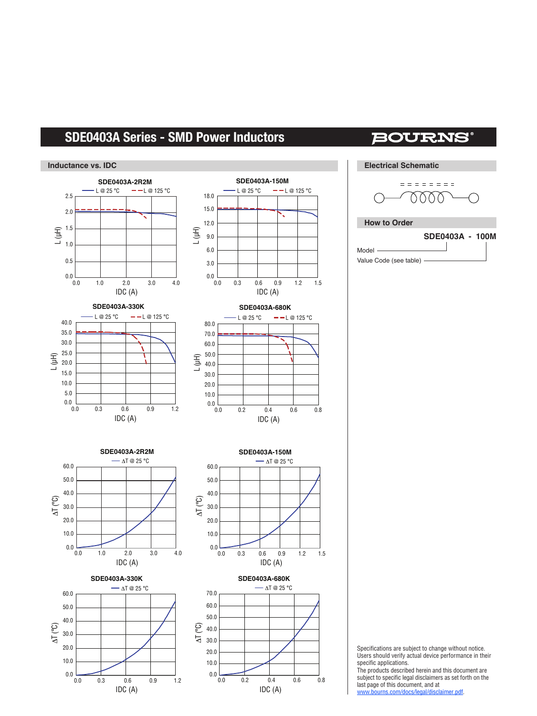# **SDE0403A Series - SMD Power Inductors**

**Inductance vs. IDC**

#### $0.0$   $0.0$ 0.5 1.0 1.5 2.0 2.5 0.0 1.0 2.0 3.0 4.0 0.0 1.0 2.0 3.0 4.0 IDC (A)  $L(\mu H)$ IDC (A) ΔT (°C)  $L @ 25 °C — -L @ 125 °C$  $-\Delta T \otimes 25$  °C  $\frac{1}{0.0}$ 10.0 20.0 30.0 40.0 50.0 60.0  $0.0$ <br>0.0 6.0 3.0 9.0 12.0 15.0 18.0 0.0 0.3 0.6 0.9 1.2 1.5 0.0 0.3 0.6 0.9 1.2 1.5 IDC (A) L (µH) IDC (A) ΔT (°C)  $L @ 25 °C — - L @ 125 °C$ ΔT @ 25 °C  $0.0$ <br> $0.0$ 10.0 20.0 30.0 40.0 50.0 60.0  $0.0\,$   $0.0$ 25.0 20.0 30.0 35.0 5.0 10.0 15.0 40.0  $0.0$ <br> $0.0$ 50.0 40.0 60.0 70.0 20.0 10.0 30.0 80.0 0.0 0.3 0.6 0.9 1.2 0.0 0.3 0.6 0.9 1.2 IDC (A) L (µH) IDC (A) ΔT (°C)  $-L@25°C$  - L @ 125 °C  $\Delta$ T @ 25 °C  $\frac{1}{0.0}$ 10.0 20.0 30.0 40.0 50.0 60.0 0.0 0.2 0.4 0.6 0.8 0.0 0.2 0.4 0.6 0.8 IDC (A) L (µH) IDC (A) ΔT (°C)  $L @ 25 °C — -L @ 125 °C$ ΔT @ 25 °C  $0.0$ <br> $0.0$ 20.0 10.0 30.0 40.0 50.0 60.0 70.0 **SDE0403A-2R2M SDE0403A-150M SDE0403A-330K SDE0403A-680K SDE0403A-2R2M SDE0403A-150M SDE0403A-330K SDE0403A-680K How to Order** Model specific applications.

## **BOURNS®**

**Electrical Schematic**

$$
\begin{array}{c}\n - \text{matrix} \\
- \text{0000} \\
- \text{0000} \\
- \text{0000} \\
- \text{0000} \\
- \text{0000} \\
- \text{0000} \\
- \text{0000} \\
- \text{0000} \\
- \text{0000} \\
- \text{0000} \\
- \text{0000} \\
- \text{0000} \\
- \text{0000} \\
- \text{0000} \\
- \text{0000} \\
- \text{0000} \\
- \text{0000} \\
- \text{0000} \\
- \text{0000} \\
- \text{0000} \\
- \text{0000} \\
- \text{0000} \\
- \text{0000} \\
- \text{0000} \\
- \text{0000} \\
- \text{0000} \\
- \text{0000} \\
- \text{0000} \\
- \text{0000} \\
- \text{0000} \\
- \text{0000} \\
- \text{0000} \\
- \text{0000} \\
- \text{0000} \\
- \text{0000} \\
- \text{0000} \\
- \text{0000} \\
- \text{0000} \\
- \text{0000} \\
- \text{0000} \\
- \text{0000} \\
- \text{0000} \\
- \text{0000} \\
- \text{0000} \\
- \text{0000} \\
- \text{0000} \\
- \text{0000} \\
- \text{0000} \\
- \text{0000} \\
- \text{0000} \\
- \text{0000} \\
- \text{0000} \\
- \text{0000} \\
- \text{0000} \\
- \text{0000} \\
- \text{0000} \\
- \text{0000} \\
- \text{0000} \\
- \text{0000} \\
- \text{0000} \\
- \text{0000} \\
- \text{0000} \\
- \text{0000} \\
- \text{0000} \\
- \text{0000} \\
- \text{0000} \\
- \text{0000} \\
- \text{0000} \\
- \text{0000} \\
- \text{0000} \\
- \text{0000} \\
- \text{0000} \\
- \text{0000} \\
- \text{0000} \\
- \text{0
$$



Value Code (see table)

Specifications are subject to change without notice. Users should verify actual device performance in their

The products described herein and this document are subject to specific legal disclaimers as set forth on the last page of this document, and at

www.bourns.com/docs/legal/disclaimer.pdf.